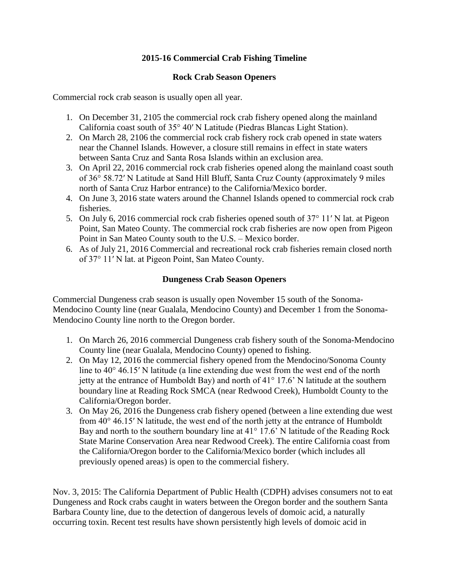## **2015-16 Commercial Crab Fishing Timeline**

## **Rock Crab Season Openers**

Commercial rock crab season is usually open all year.

- 1. On December 31, 2105 the commercial rock crab fishery opened along the mainland California coast south of 35° 40′ N Latitude (Piedras Blancas Light Station).
- 2. On March 28, 2106 the commercial rock crab fishery rock crab opened in state waters near the Channel Islands. However, a closure still remains in effect in state waters between Santa Cruz and Santa Rosa Islands within an exclusion area.
- 3. On April 22, 2016 commercial rock crab fisheries opened along the mainland coast south of 36° 58.72′ N Latitude at Sand Hill Bluff, Santa Cruz County (approximately 9 miles north of Santa Cruz Harbor entrance) to the California/Mexico border.
- 4. On June 3, 2016 state waters around the Channel Islands opened to commercial rock crab fisheries.
- 5. On July 6, 2016 commercial rock crab fisheries opened south of 37° 11' N lat. at Pigeon Point, San Mateo County. The commercial rock crab fisheries are now open from Pigeon Point in San Mateo County south to the U.S. – Mexico border.
- 6. As of July 21, 2016 Commercial and recreational rock crab fisheries remain closed north of 37° 11′ N lat. at Pigeon Point, San Mateo County.

## **Dungeness Crab Season Openers**

Commercial Dungeness crab season is usually open November 15 south of the Sonoma-Mendocino County line (near Gualala, Mendocino County) and December 1 from the Sonoma-Mendocino County line north to the Oregon border.

- 1. On March 26, 2016 commercial Dungeness crab fishery south of the Sonoma-Mendocino County line (near Gualala, Mendocino County) opened to fishing.
- 2. On May 12, 2016 the commercial fishery opened from the Mendocino/Sonoma County line to 40° 46.15′ N latitude (a line extending due west from the west end of the north jetty at the entrance of Humboldt Bay) and north of 41° 17.6' N latitude at the southern boundary line at Reading Rock SMCA (near Redwood Creek), Humboldt County to the California/Oregon border.
- 3. On May 26, 2016 the Dungeness crab fishery opened (between a line extending due west from 40° 46.15′ N latitude, the west end of the north jetty at the entrance of Humboldt Bay and north to the southern boundary line at 41<sup>o</sup> 17.6' N latitude of the Reading Rock State Marine Conservation Area near Redwood Creek). The entire California coast from the California/Oregon border to the California/Mexico border (which includes all previously opened areas) is open to the commercial fishery.

Nov. 3, 2015: The California Department of Public Health (CDPH) advises consumers not to eat Dungeness and Rock crabs caught in waters between the Oregon border and the southern Santa Barbara County line, due to the detection of dangerous levels of domoic acid, a naturally occurring toxin. Recent test results have shown persistently high levels of domoic acid in